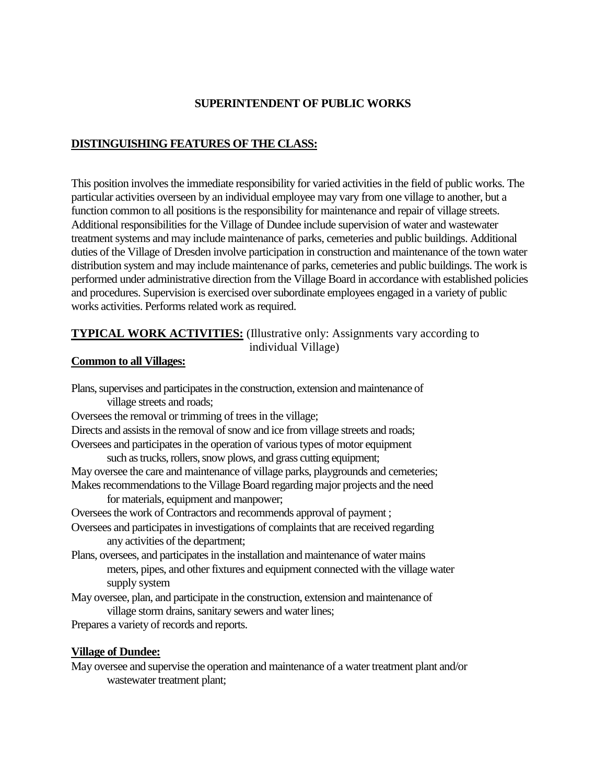# **SUPERINTENDENT OF PUBLIC WORKS**

# **DISTINGUISHING FEATURES OF THE CLASS:**

This position involves the immediate responsibility for varied activities in the field of public works. The particular activities overseen by an individual employee may vary from one village to another, but a function common to all positions is the responsibility for maintenance and repair of village streets. Additional responsibilities for the Village of Dundee include supervision of water and wastewater treatment systems and may include maintenance of parks, cemeteries and public buildings. Additional duties of the Village of Dresden involve participation in construction and maintenance of the town water distribution system and may include maintenance of parks, cemeteries and public buildings. The work is performed under administrative direction from the Village Board in accordance with established policies and procedures. Supervision is exercised over subordinate employees engaged in a variety of public works activities. Performs related work as required.

# **TYPICAL WORK ACTIVITIES:** (Illustrative only: Assignments vary according to individual Village)

#### **Common to all Villages:**

Plans, supervises and participates in the construction, extension and maintenance of village streets and roads; Oversees the removal or trimming of trees in the village; Directs and assists in the removal of snow and ice from village streets and roads; Oversees and participates in the operation of various types of motor equipment such as trucks, rollers, snow plows, and grass cutting equipment; May oversee the care and maintenance of village parks, playgrounds and cemeteries; Makes recommendations to the Village Board regarding major projects and the need for materials, equipment and manpower; Oversees the work of Contractors and recommends approval of payment ; Oversees and participates in investigations of complaints that are received regarding any activities of the department; Plans, oversees, and participates in the installation and maintenance of water mains meters, pipes, and other fixtures and equipment connected with the village water supply system May oversee, plan, and participate in the construction, extension and maintenance of village storm drains, sanitary sewers and water lines; Prepares a variety of records and reports.

#### **Village of Dundee:**

May oversee and supervise the operation and maintenance of a water treatment plant and/or wastewater treatment plant;